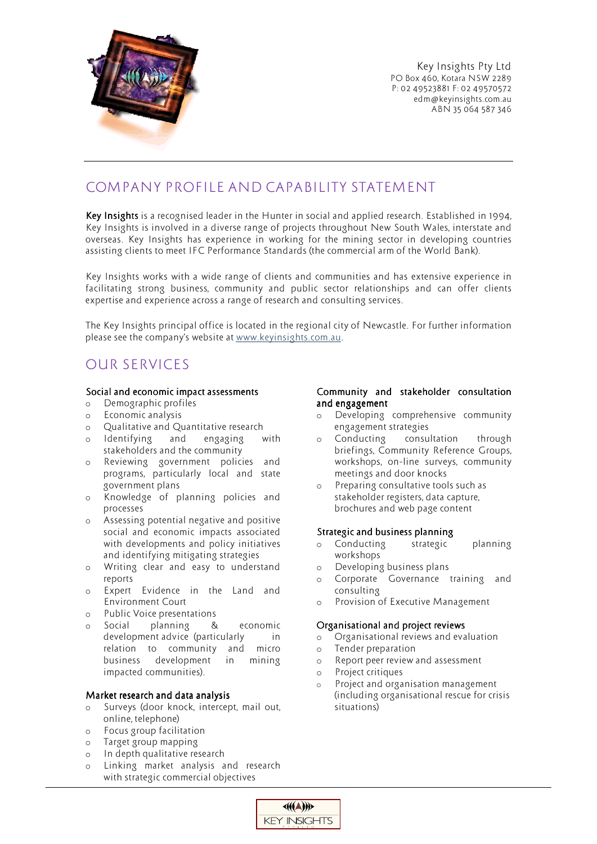

Key Insights Pty Ltd PO Box 460, Kotara NSW 2289 P: 02 49523881 F: 02 49570572 edm@keyinsights.com.au ABN 35 064 587 346

## COMPANY PROFILE AND CAPABILITY STATEMENT

Key Insights is a recognised leader in the Hunter in social and applied research. Established in 1994, Key Insights is involved in a diverse range of projects throughout New South Wales, interstate and overseas. Key Insights has experience in working for the mining sector in developing countries assisting clients to meet IFC Performance Standards (the commercial arm of the World Bank).

Key Insights works with a wide range of clients and communities and has extensive experience in facilitating strong business, community and public sector relationships and can offer clients expertise and experience across a range of research and consulting services.

The Key Insights principal office is located in the regional city of Newcastle. For further information please see the company's website at www.keyinsights.com.au.

### OUR SERVICES

### Social and economic impact assessments

- o Demographic profiles
- o Economic analysis
- o Qualitative and Quantitative research
- o Identifying and engaging with stakeholders and the community
- o Reviewing government policies and programs, particularly local and state government plans
- o Knowledge of planning policies and processes
- o Assessing potential negative and positive social and economic impacts associated with developments and policy initiatives and identifying mitigating strategies
- o Writing clear and easy to understand reports
- o Expert Evidence in the Land and Environment Court
- o Public Voice presentations
- o Social planning & economic development advice (particularly in relation to community and micro business development in mining impacted communities).

### Market research and data analysis

- o Surveys (door knock, intercept, mail out, online, telephone)
- o Focus group facilitation
- o Target group mapping
- o In depth qualitative research
- o Linking market analysis and research with strategic commercial objectives

#### Community and stakeholder consultation and engagement

- o Developing comprehensive community engagement strategies
- o Conducting consultation through briefings, Community Reference Groups, workshops, on-line surveys, community meetings and door knocks
- o Preparing consultative tools such as stakeholder registers, data capture, brochures and web page content

### Strategic and business planning

- o Conducting strategic planning workshops
- o Developing business plans
- o Corporate Governance training and consulting
- Provision of Executive Management

### Organisational and project reviews

- o Organisational reviews and evaluation
- o Tender preparation
- o Report peer review and assessment
- o Project critiques
- o Project and organisation management (including organisational rescue for crisis situations)

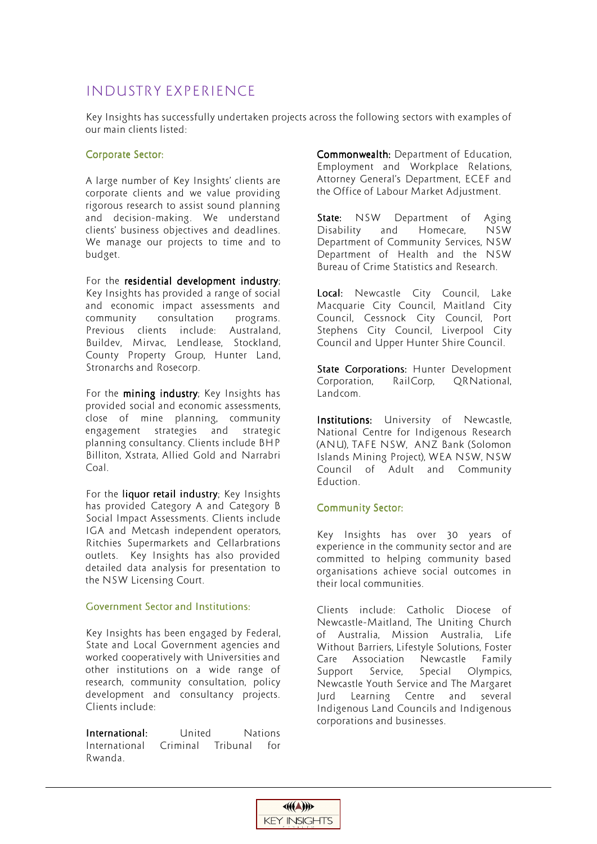### INDUSTRY EXPERIENCE

Key Insights has successfully undertaken projects across the following sectors with examples of our main clients listed:

### Corporate Sector:

A large number of Key Insights' clients are corporate clients and we value providing rigorous research to assist sound planning and decision-making. We understand clients' business objectives and deadlines. We manage our projects to time and to budget.

For the residential development industry; Key Insights has provided a range of social and economic impact assessments and community consultation programs. Previous clients include: Australand, Buildev, Mirvac, Lendlease, Stockland, County Property Group, Hunter Land, Stronarchs and Rosecorp.

For the mining industry; Key Insights has provided social and economic assessments, close of mine planning, community engagement strategies and strategic planning consultancy. Clients include BHP Billiton, Xstrata, Allied Gold and Narrabri Coal.

For the liquor retail industry; Key Insights has provided Category A and Category B Social Impact Assessments. Clients include IGA and Metcash independent operators, Ritchies Supermarkets and Cellarbrations outlets. Key Insights has also provided detailed data analysis for presentation to the NSW Licensing Court.

### Government Sector and Institutions:

Key Insights has been engaged by Federal, State and Local Government agencies and worked cooperatively with Universities and other institutions on a wide range of research, community consultation, policy development and consultancy projects. Clients include:

**International:** United Nations International Criminal Tribunal for Rwanda.

Commonwealth: Department of Education, Employment and Workplace Relations, Attorney General's Department, ECEF and the Office of Labour Market Adjustment.

State: NSW Department of Aging Disability and Homecare, NSW Department of Community Services, NSW Department of Health and the NSW Bureau of Crime Statistics and Research.

Local: Newcastle City Council, Lake Macquarie City Council, Maitland City Council, Cessnock City Council, Port Stephens City Council, Liverpool City Council and Upper Hunter Shire Council.

State Corporations: Hunter Development Corporation, RailCorp, QRNational, Landcom.

Institutions: University of Newcastle, National Centre for Indigenous Research (ANU), TAFE NSW, ANZ Bank (Solomon Islands Mining Project), WEA NSW, NSW Council of Adult and Community Eduction.

### **Community Sector:**

Key Insights has over 30 years of experience in the community sector and are committed to helping community based organisations achieve social outcomes in their local communities.

Clients include: Catholic Diocese of Newcastle-Maitland, The Uniting Church of Australia, Mission Australia, Life Without Barriers, Lifestyle Solutions, Foster Care Association Newcastle Family Support Service, Special Olympics, Newcastle Youth Service and The Margaret Jurd Learning Centre and several Indigenous Land Councils and Indigenous corporations and businesses.